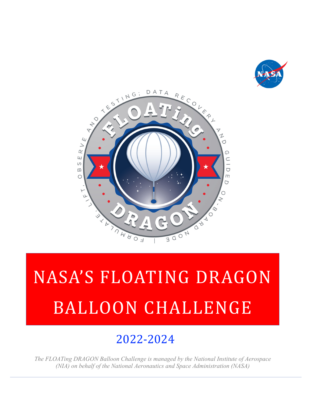



# 2022-2024

*The FLOATing DRAGON Balloon Challenge is managed by the National Institute of Aerospace (NIA) on behalf of the National Aeronautics and Space Administration (NASA)*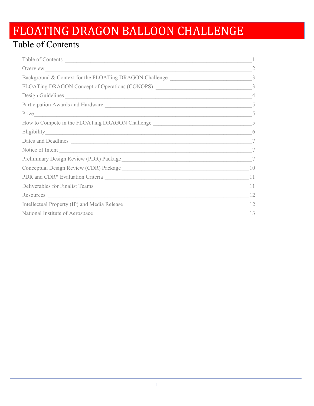### Table of Contents

| Table of Contents                                                                                                                 |                |
|-----------------------------------------------------------------------------------------------------------------------------------|----------------|
|                                                                                                                                   |                |
| Background & Context for the FLOATing DRAGON Challenge                                                                            | 3              |
| FLOATing DRAGON Concept of Operations (CONOPS) _________________________________                                                  | 3              |
| Design Guidelines                                                                                                                 | $\overline{4}$ |
| Participation Awards and Hardware                                                                                                 | 5              |
| Prize                                                                                                                             | 5              |
|                                                                                                                                   |                |
|                                                                                                                                   | 6              |
| Dates and Deadlines                                                                                                               | $\tau$         |
| Notice of Intent                                                                                                                  | $\tau$         |
|                                                                                                                                   | 7              |
|                                                                                                                                   | 10             |
|                                                                                                                                   | 11             |
|                                                                                                                                   | 11             |
| Resources<br><u> Alexandria de la contrada de la contrada de la contrada de la contrada de la contrada de la contrada de la c</u> | 12             |
|                                                                                                                                   | 12             |
| National Institute of Aerospace                                                                                                   | 13             |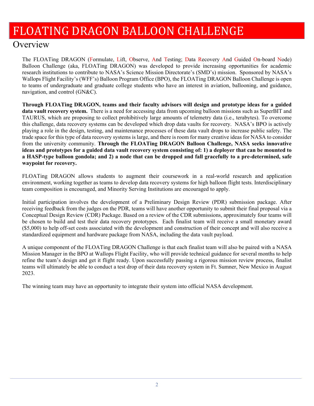### **Overview**

The FLOATing DRAGON (Formulate, Lift, Observe, And Testing; Data Recovery And Guided On-board Node) Balloon Challenge (aka, FLOATing DRAGON) was developed to provide increasing opportunities for academic research institutions to contribute to NASA's Science Mission Directorate's (SMD's) mission. Sponsored by NASA's Wallops Flight Facility's (WFF's) Balloon Program Office (BPO), the FLOATing DRAGON Balloon Challenge is open to teams of undergraduate and graduate college students who have an interest in aviation, ballooning, and guidance, navigation, and control (GN&C).

**Through FLOATing DRAGON, teams and their faculty advisors will design and prototype ideas for a guided data vault recovery system.** There is a need for accessing data from upcoming balloon missions such as SuperBIT and TAURUS, which are proposing to collect prohibitively large amounts of telemetry data (i.e., terabytes). To overcome this challenge, data recovery systems can be developed which drop data vaults for recovery. NASA's BPO is actively playing a role in the design, testing, and maintenance processes of these data vault drops to increase public safety. The trade space for this type of data recovery systems is large, and there is room for many creative ideas for NASA to consider from the university community. **Through the FLOATing DRAGON Balloon Challenge, NASA seeks innovative ideas and prototypes for a guided data vault recovery system consisting of: 1) a deployer that can be mounted to a HASP-type balloon gondola; and 2) a node that can be dropped and fall gracefully to a pre-determined, safe waypoint for recovery.**

FLOATing DRAGON allows students to augment their coursework in a real-world research and application environment, working together as teams to develop data recovery systems for high balloon flight tests. Interdisciplinary team composition is encouraged, and Minority Serving Institutions are encouraged to apply.

Initial participation involves the development of a Preliminary Design Review (PDR) submission package. After receiving feedback from the judges on the PDR, teams will have another opportunity to submit their final proposal via a Conceptual Design Review (CDR) Package. Based on a review of the CDR submissions, approximately four teams will be chosen to build and test their data recovery prototypes. Each finalist team will receive a small monetary award (\$5,000) to help off-set costs associated with the development and construction of their concept and will also receive a standardized equipment and hardware package from NASA, including the data vault payload.

A unique component of the FLOATing DRAGON Challenge is that each finalist team will also be paired with a NASA Mission Manager in the BPO at Wallops Flight Facility, who will provide technical guidance for several months to help refine the team's design and get it flight ready. Upon successfully passing a rigorous mission review process, finalist teams will ultimately be able to conduct a test drop of their data recovery system in Ft. Sumner, New Mexico in August 2023.

The winning team may have an opportunity to integrate their system into official NASA development.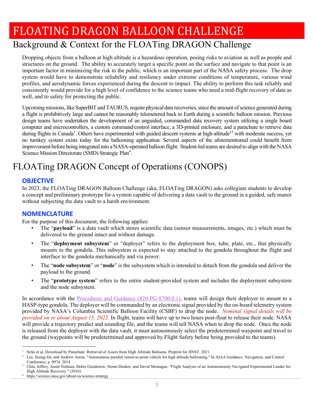### Background & Context for the FLOATing DRAGON Challenge

Dropping objects from a balloon at high altitude is a hazardous operation, posing risks to aviation as well as people and structures on the ground. The ability to accurately target a specific point on the surface and navigate to that point is an important factor in minimizing the risk to the public, which is an important part of the NASA safety process. The drop system would have to demonstrate reliability and resiliency under extreme conditions of temperature, various wind profiles, and aerodynamic forces experienced during the descent to impact. The ability to perform this task reliably and consistently would provide for a high level of confidence to the science teams who need a mid-flight recovery of data as well, and to safety for protecting the public.

Upcoming missions, like SuperBIT and TAURUS, require physical data recoveries, since the amount of science generated during a flight is prohibitively large and cannot be reasonably telemetered back to Earth during a scientific balloon mission. Previous design teams have undertaken the development of an unguided, commanded data recovery system utilizing a single board computer and microcontrollers, a custom command/control interface, a 3D-printed enclosure, and a parachute to retrieve data during flights in Canada<sup>1</sup>. Others have experimented with guided descent systems at high-altitude<sup>23</sup> with moderate success, yet no turnkey system exists today for the ballooning application. Several aspects of the aforementioned could benefit from improvement before being integrated into a NASA-operated balloon flight. Student-led teams are desired to align with the NASA Science Mission Directorate (SMD) Strategic Plan<sup>4</sup>.

### FLOATing DRAGON Concept of Operations (CONOPS)

#### **OBJECTIVE**

In 2023, the FLOATing DRAGON Balloon Challenge (aka, FLOATing DRAGON) asks collegiate students to develop a concept and preliminary prototype for a system capable of delivering a data vault to the ground in a guided, safe manor without subjecting the data vault to a harsh environment.

#### **NOMENCLATURE**

For the purpose of this document, the following applies:

- The "payload" is a data vault which stores scientific data (sensor measurements, images, etc.) which must be delivered to the ground intact and without damage.
- The "**deployment subsystem**" or "deployer" refers to the deployment box, tube, plate, etc., that physically mounts to the gondola. This subsystem is expected to stay attached to the gondola throughout the flight and interface to the gondola mechanically and via power.
- The "**node subsystem**" or "**node**" is the subsystem which is intended to detach from the gondola and deliver the payload to the ground.
- The "**prototype system**" refers to the entire student-provided system and includes the deployment subsystem and the node subsystem.

In accordance with the Procedures and Guidance (820-PG-8700.0.1), teams will design their deployer to mount to a HASP-type gondola. The deployer will be commanded by an electronic signal provided by the on-board telemetry system provided by NASA's Columbia Scientific Balloon Facility (CSBF) to drop the node. *Nominal signal details will be provided on or about August 15, 2022.* In flight, teams will have up to two hours post-float to release their node. NASA will provide a trajectory predict and sounding file, and the teams will tell NASA when to drop the node. Once the node is released from the deployer with the data vault, it must autonomously select the predetermined waypoint and travel to the ground (waypoints will be predetermined and approved by Flight Safety before being provided to the teams).

<sup>1</sup> <sup>1</sup> Sirks et al, Download by Parachute: Retrieval of Assets from High Altitude Balloons. Preprint for JINST. 2021.

Lee, Seong-Jin, and Andrew Arena. "Autonomous parafoil return-to-point vehicle for high altitude ballooning." In AIAA Guidance, Navigation, and Control Conference, p. 0974. 2014.

Chin, Jeffrey, Justin Niehaus, Debra Goodenow, Storm Dunker, and David Montague. "Flight Analysis of an Autonomously Navigated Experimental Lander for High Altitude Recovery." (2016). 4 https://science.nasa.gov/about-us/science-strategy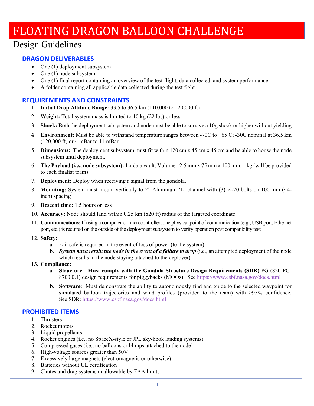### Design Guidelines

#### **DRAGON DELIVERABLES**

- One (1) deployment subsystem
- $\bullet$  One (1) node subsystem
- One (1) final report containing an overview of the test flight, data collected, and system performance
- A folder containing all applicable data collected during the test fight

#### **REQUIREMENTS AND CONSTRAINTS**

- 1. **Initial Drop Altitude Range:** 33.5 to 36.5 km (110,000 to 120,000 ft)
- 2. **Weight:** Total system mass is limited to 10 kg (22 lbs) or less
- 3. **Shock:** Both the deployment subsystem and node must be able to survive a 10g shock or higher without yielding
- 4. **Environment:** Must be able to withstand temperature ranges between -70C to +65 C; -30C nominal at 36.5 km (120,000 ft) or 4 mBar to 11 mBar
- 5. **Dimensions:** The deployment subsystem must fit within 120 cm x 45 cm x 45 cm and be able to house the node subsystem until deployment.
- 6. **The Payload (i.e., node subsystem):** 1 x data vault: Volume 12.5 mm x 75 mm x 100 mm; 1 kg (will be provided to each finalist team)
- 7. **Deployment:** Deploy when receiving a signal from the gondola.
- 8. **Mounting:** System must mount vertically to 2" Aluminum 'L' channel with (3) ¼-20 bolts on 100 mm (~4inch) spacing
- 9. **Descent time:** 1.5 hours or less
- 10. **Accuracy:** Node should land within 0.25 km (820 ft) radius of the targeted coordinate
- 11. **Communications:** If using a computer or microcontroller, one physical point of communication (e.g., USB port, Ethernet port, etc.) is required on the outside of the deployment subsystem to verify operation post compatibility test.
- 12. **Safety:**
	- a. Fail safe is required in the event of loss of power (to the system)
	- b. *System must retain the node in the event of a failure to drop* (i.e., an attempted deployment of the node which results in the node staying attached to the deployer).
- **13. Compliance:** 
	- a. **Structure**: **Must comply with the Gondola Structure Design Requirements (SDR)** PG (820-PG-8700.0.1) design requirements for piggybacks (MOOs). See https://www.csbf.nasa.gov/docs.html
	- b. **Software**: Must demonstrate the ability to autonomously find and guide to the selected waypoint for simulated balloon trajectories and wind profiles (provided to the team) with >95% confidence. See SDR: https://www.csbf.nasa.gov/docs.html

#### **PROHIBITED ITEMS**

- 1. Thrusters
- 2. Rocket motors
- 3. Liquid propellants
- 4. Rocket engines (i.e., no SpaceX-style or JPL sky-hook landing systems)
- 5. Compressed gases (i.e., no balloons or blimps attached to the node)
- 6. High-voltage sources greater than 50V
- 7. Excessively large magnets (electromagnetic or otherwise)
- 8. Batteries without UL certification
- 9. Chutes and drag systems unallowable by FAA limits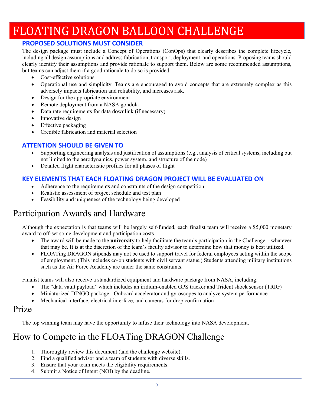### **PROPOSED SOLUTIONS MUST CONSIDER**

The design package must include a Concept of Operations (ConOps) that clearly describes the complete lifecycle, including all design assumptions and address fabrication, transport, deployment, and operations. Proposing teams should clearly identify their assumptions and provide rationale to support them. Below are some recommended assumptions, but teams can adjust them if a good rationale to do so is provided.

- Cost-effective solutions
- Operational use and simplicity. Teams are encouraged to avoid concepts that are extremely complex as this adversely impacts fabrication and reliability, and increases risk.
- Design for the appropriate environment
- Remote deployment from a NASA gondola
- Data rate requirements for data downlink (if necessary)
- Innovative design
- Effective packaging
- Credible fabrication and material selection

### **ATTENTION SHOULD BE GIVEN TO**

- Supporting engineering analysis and justification of assumptions (e.g., analysis of critical systems, including but not limited to the aerodynamics, power system, and structure of the node)
- Detailed flight characteristic profiles for all phases of flight

#### **KEY ELEMENTS THAT EACH FLOATING DRAGON PROJECT WILL BE EVALUATED ON**

- Adherence to the requirements and constraints of the design competition
- Realistic assessment of project schedule and test plan
- Feasibility and uniqueness of the technology being developed

### Participation Awards and Hardware

Although the expectation is that teams will be largely self-funded, each finalist team will receive a \$5,000 monetary award to off-set some development and participation costs.

- The award will be made to the **university** to help facilitate the team's participation in the Challenge whatever that may be. It is at the discretion of the team's faculty advisor to determine how that money is best utilized.
- FLOATing DRAGON stipends may not be used to support travel for federal employees acting within the scope of employment. (This includes co-op students with civil servant status.) Students attending military institutions such as the Air Force Academy are under the same constraints.

Finalist teams will also receive a standardized equipment and hardware package from NASA, including:

- The "data vault payload" which includes an iridium-enabled GPS tracker and Trident shock sensor (TRIG)
- Miniaturized DINGO package Onboard accelerator and gyroscopes to analyze system performance
- Mechanical interface, electrical interface, and cameras for drop confirmation

### Prize

The top winning team may have the opportunity to infuse their technology into NASA development.

### How to Compete in the FLOATing DRAGON Challenge

- 1. Thoroughly review this document (and the challenge website).
- 2. Find a qualified advisor and a team of students with diverse skills.
- 3. Ensure that your team meets the eligibility requirements.
- 4. Submit a Notice of Intent (NOI) by the deadline.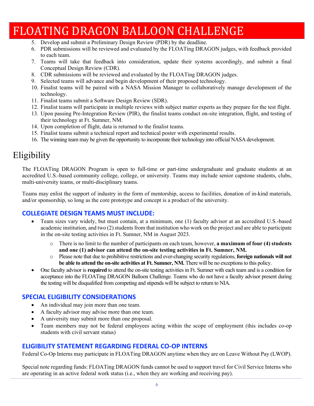- 5. Develop and submit a Preliminary Design Review (PDR) by the deadline.
- 6. PDR submissions will be reviewed and evaluated by the FLOATing DRAGON judges, with feedback provided to each team.
- 7. Teams will take that feedback into consideration, update their systems accordingly, and submit a final Conceptual Design Review (CDR).
- 8. CDR submissions will be reviewed and evaluated by the FLOATing DRAGON judges.
- 9. Selected teams will advance and begin development of their proposed technology.
- 10. Finalist teams will be paired with a NASA Mission Manager to collaboratively manage development of the technology.
- 11. Finalist teams submit a Software Design Review (SDR).
- 12. Finalist teams will participate in multiple reviews with subject matter experts as they prepare for the test flight.
- 13. Upon passing Pre-Integration Review (PIR), the finalist teams conduct on-site integration, flight, and testing of their technology at Ft. Sumner, NM.
- 14. Upon completion of flight, data is returned to the finalist teams.
- 15. Finalist teams submit a technical report and technical poster with experimental results.
- 16. The winning team may be given the opportunity to incorporate their technology into official NASA development.

### Eligibility

The FLOATing DRAGON Program is open to full-time or part-time undergraduate and graduate students at an accredited U.S.-based community college, college, or university. Teams may include senior capstone students, clubs, multi-university teams, or multi-disciplinary teams.

Teams may enlist the support of industry in the form of mentorship, access to facilities, donation of in-kind materials, and/or sponsorship, so long as the core prototype and concept is a product of the university.

#### **COLLEGIATE DESIGN TEAMS MUST INCLUDE:**

- Team sizes vary widely, but must contain, at a minimum, one (1) faculty advisor at an accredited U.S.-based academic institution, and two (2) students from that institution who work on the project and are able to participate in the on-site testing activities in Ft. Sumner, NM in August 2023.
	- o There is no limit to the number of participants on each team, however, **a maximum of four (4) students and one (1) advisor can attend the on-site testing activities in Ft. Sumner, NM.**
	- o Please note that due to prohibitive restrictions and ever-changing security regulations, **foreign nationals will not be able to attend the on-site activities at Ft. Sumner, NM.** There will be no exceptions to this policy.
- One faculty advisor is **required** to attend the on-site testing activities in Ft. Sumner with each team and is a condition for acceptance into the FLOATing DRAGON Balloon Challenge. Teams who do not have a faculty advisor present during the testing will be disqualified from competing and stipends will be subject to return to NIA.

#### **SPECIAL ELIGIBILITY CONSIDERATIONS**

- An individual may join more than one team.
- A faculty advisor may advise more than one team.
- A university may submit more than one proposal.
- Team members may not be federal employees acting within the scope of employment (this includes co-op students with civil servant status)

#### **ELIGIBILITY STATEMENT REGARDING FEDERAL CO‐OP INTERNS**

Federal Co-Op Interns may participate in FLOATing DRAGON anytime when they are on Leave Without Pay (LWOP).

Special note regarding funds: FLOATing DRAGON funds cannot be used to support travel for Civil Service Interns who are operating in an active federal work status (i.e., when they are working and receiving pay).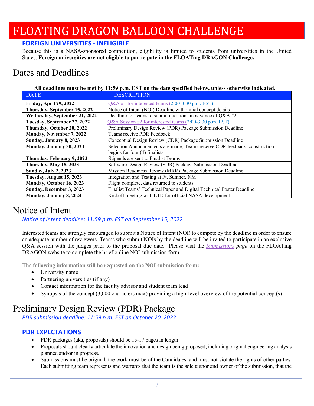### **FOREIGN UNIVERSITIES ‐ INELIGIBLE**

Because this is a NASA-sponsored competition, eligibility is limited to students from universities in the United States. **Foreign universities are not eligible to participate in the FLOATing DRAGON Challenge.** 

### Dates and Deadlines

| <b>DATE</b>                   | <b>DESCRIPTION</b>                                                         |
|-------------------------------|----------------------------------------------------------------------------|
| Friday, April 29, 2022        | $Q&A \#1$ for interested teams (2:00-3:30 p.m. EST)                        |
| Thursday, September 15, 2022  | Notice of Intent (NOI) Deadline with initial concept details               |
| Wednesday, September 21, 2022 | Deadline for teams to submit questions in advance of $Q&A#2$               |
| Tuesday, September 27, 2022   | Q&A Session #2 for interested teams (2:00-3:30 p.m. EST)                   |
| Thursday, October 20, 2022    | Preliminary Design Review (PDR) Package Submission Deadline                |
| Monday, November 7, 2022      | Teams receive PDR Feedback                                                 |
| Sunday, January 8, 2023       | Conceptual Design Review (CDR) Package Submission Deadline                 |
| Monday, January 30, 2023      | Selection Announcements are made; Teams receive CDR feedback; construction |
|                               | begins for four $(4)$ finalists                                            |
| Thursday, February 9, 2023    | Stipends are sent to Finalist Teams                                        |
| <b>Thursday, May 18, 2023</b> | Software Design Review (SDR) Package Submission Deadline                   |
| <b>Sunday, July 2, 2023</b>   | Mission Readiness Review (MRR) Package Submission Deadline                 |
| Tuesday, August 15, 2023      | Integration and Testing at Ft. Sumner, NM                                  |
| Monday, October 16, 2023      | Flight complete, data returned to students                                 |
| Sunday, December 3, 2023      | Finalist Teams' Technical Paper and Digital Technical Poster Deadline      |
| Monday, January 8, 2024       | Kickoff meeting with ETD for official NASA development                     |

### Notice of Intent

*NoƟce of Intent deadline: 11:59 p.m. EST on September 15, 2022* 

Interested teams are strongly encouraged to submit a Notice of Intent (NOI) to compete by the deadline in order to ensure an adequate number of reviewers. Teams who submit NOIs by the deadline will be invited to participate in an exclusive Q&A session with the judges prior to the proposal due date. Please visit the *Submissions page* on the FLOATing DRAGON website to complete the brief online NOI submission form.

**The following information will be requested on the NOI submission form:** 

- University name
- Partnering universities (if any)
- Contact information for the faculty advisor and student team lead
- Synopsis of the concept  $(3,000$  characters max) providing a high-level overview of the potential concept $(s)$

### Preliminary Design Review (PDR) Package

*PDR submission deadline: 11:59 p.m. EST on October 20, 2022*

### **PDR EXPECTATIONS**

- PDR packages (aka, proposals) should be 15-17 pages in length
- Proposals should clearly articulate the innovation and design being proposed, including original engineering analysis planned and/or in progress.
- Submissions must be original, the work must be of the Candidates, and must not violate the rights of other parties. Each submitting team represents and warrants that the team is the sole author and owner of the submission, that the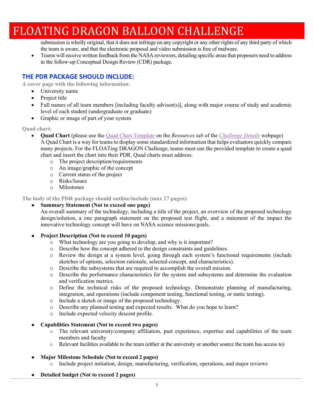submission is wholly original, that it does not infringe on any copyright or any other rights of any third party of which the team is aware, and that the electronic proposal and video submission is free of malware.

 Teams will receive written feedback from the NASA reviewers, detailing specific areas that proposers need to address in the follow-up Conceptual Design Review (CDR) package.

#### **THE PDR PACKAGE SHOULD INCLUDE:**

**A cover page with the following information:** 

- University name
- Project title
- Full names of all team members [including faculty advisor(s)], along with major course of study and academic level of each student (undergraduate or graduate)
- Graphic or image of part of your system

**Quad chart:** 

- **Quad Chart** (please use the Quad Chart Template on the *Resources tab* of the *Challenge Details* webpage) A Quad Chart is a way for teams to display some standardized information that helps evaluators quickly compare many projects. For the FLOATing DRAGON Challenge, teams must use the provided template to create a quad chart and insert the chart into their PDR. Quad charts must address:
	- o The project description/requirements
	- o An image/graphic of the concept
	- o Current status of the project
	- o Risks/Issues
	- o Milestones

**The body of the PDR package should outline/include (max 17 pages):** 

#### ● **Summary Statement (Not to exceed one page)**

An overall summary of the technology, including a title of the project, an overview of the proposed technology design/solution, a one paragraph statement on the proposed test flight, and a statement of the impact the innovative technology concept will have on NASA science missions/goals.

#### ● **Project Description (Not to exceed 10 pages)**

- o What technology are you going to develop, and why is it important?
- o Describe how the concept adhered to the design constraints and guidelines.
- o Review the design at a system level, going through each system's functional requirements (include sketches of options, selection rationale, selected concept, and characteristics).
- o Describe the subsystems that are required to accomplish the overall mission.
- o Describe the performance characteristics for the system and subsystems and determine the evaluation and verification metrics.
- o Define the technical risks of the proposed technology. Demonstrate planning of manufacturing, integration, and operations (include component testing, functional testing, or static testing).
- o Include a sketch or image of the proposed technology.
- o Describe any planned testing and expected results. What do you hope to learn?
- o Include expected velocity descent profile.
- **Capabilities Statement (Not to exceed two pages)** 
	- o The relevant university/company affiliation, past experience, expertise and capabilities of the team members and faculty
	- o Relevant facilities available to the team (either at the university or another source the team has access to)

#### ● **Major Milestone Schedule (Not to exceed 2 pages)**

- o Include project initiation, design, manufacturing, verification, operations, and major reviews
- **Detailed budget (Not to exceed 2 pages)**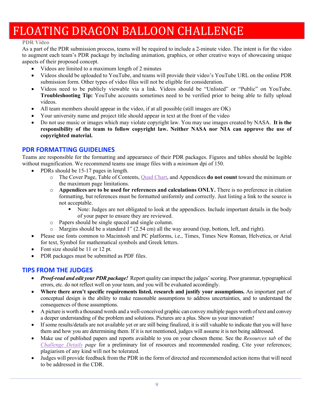#### **PDR Video**

As a part of the PDR submission process, teams will be required to include a 2-minute video. The intent is for the video to augment each team's PDR package by including animation, graphics, or other creative ways of showcasing unique aspects of their proposed concept.

- Videos are limited to a maximum length of 2 minutes
- Videos should be uploaded to YouTube, and teams will provide their video's YouTube URL on the online PDR submission form. Other types of video files will not be eligible for consideration.
- Videos need to be publicly viewable via a link. Videos should be "Unlisted" or "Public" on YouTube. **Troubleshooting Tip:** YouTube accounts sometimes need to be verified prior to being able to fully upload videos.
- All team members should appear in the video, if at all possible (still images are OK)
- Your university name and project title should appear in text at the front of the video
- Do not use music or images which may violate copyright law. You may use images created by NASA. **It is the responsibility of the team to follow copyright law. Neither NASA nor NIA can approve the use of copyrighted material.**

#### **PDR FORMATTING GUIDELINES**

Teams are responsible for the formatting and appearance of their PDR packages. Figures and tables should be legible without magnification. We recommend teams use image files with a *minimum* dpi of 150.

- PDRs should be 15-17 pages in length.
	- o The Cover Page, Table of Contents, Quad Chart, and Appendices **do not count** toward the minimum or the maximum page limitations.
	- o **Appendices are to be used for references and calculations ONLY.** There is no preference in citation formatting, but references must be formatted uniformly and correctly. Just listing a link to the source is not acceptable.
		- Note: Judges are not obligated to look at the appendices. Include important details in the body of your paper to ensure they are reviewed.
	- o Papers should be single spaced and single column.
	- $\circ$  Margins should be a standard 1" (2.54 cm) all the way around (top, bottom, left, and right).
- Please use fonts common to Macintosh and PC platforms, i.e., Times, Times New Roman, Helvetica, or Arial for text, Symbol for mathematical symbols and Greek letters.
- Font size should be 11 or 12 pt.
- PDR packages must be submitted as PDF files.

#### **TIPS FROM THE JUDGES**

- *Proof-read and edit your PDR package!* Report quality can impact the judges' scoring. Poor grammar, typographical errors, etc. do not reflect well on your team, and you will be evaluated accordingly.
- **Where there aren't specific requirements listed, research and justify your assumptions.** An important part of conceptual design is the ability to make reasonable assumptions to address uncertainties, and to understand the consequences of those assumptions.
- A picture is worth a thousand words and a well-conceived graphic can convey multiple pages worth of text and convey a deeper understanding of the problem and solutions. Pictures are a plus. Show us your innovation!
- If some results/details are not available yet or are still being finalized, it is still valuable to indicate that you will have them and how you are determining them. If it is not mentioned, judges will assume it is not being addressed.
- Make use of published papers and reports available to you on your chosen theme. See the *Resources tab* of the *Challenge Details page* for a preliminary list of resources and recommended reading. Cite your references; plagiarism of any kind will not be tolerated.
- Judges will provide feedback from the PDR in the form of directed and recommended action items that will need to be addressed in the CDR.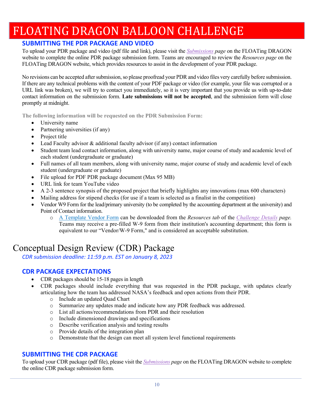### **SUBMITTING THE PDR PACKAGE AND VIDEO**

To upload your PDR package and video (pdf file and link), please visit the *Submissions page* on the FLOATing DRAGON website to complete the online PDR package submission form. Teams are encouraged to review the *Resources page* on the FLOATing DRAGON website, which provides resources to assist in the development of your PDR package.

No revisions can be accepted after submission, so please proofread your PDR and video files very carefully before submission. If there are any technical problems with the content of your PDF package or video (for example, your file was corrupted or a URL link was broken), we will try to contact you immediately, so it is very important that you provide us with up-to-date contact information on the submission form. **Late submissions will not be accepted**, and the submission form will close promptly at midnight.

**The following information will be requested on the PDR Submission Form:** 

- University name
- Partnering universities (if any)
- Project title
- Lead Faculty advisor & additional faculty advisor (if any) contact information
- Student team lead contact information, along with university name, major course of study and academic level of each student (undergraduate or graduate)
- Full names of all team members, along with university name, major course of study and academic level of each student (undergraduate or graduate)
- File upload for PDF PDR package document (Max 95 MB)
- URL link for team YouTube video
- A 2-3 sentence synopsis of the proposed project that briefly highlights any innovations (max 600 characters)
- Mailing address for stipend checks (for use if a team is selected as a finalist in the competition)
- Vendor W9 Form for the lead/primary university (to be completed by the accounting department at the university) and Point of Contact information.
	- o A Template Vendor Form can be downloaded from the *Resources tab* of the *Challenge Details page.* Teams may receive a pre-filled W-9 form from their institution's accounting department; this form is equivalent to our "Vendor/W-9 Form," and is considered an acceptable substitution.

### Conceptual Design Review (CDR) Package

*CDR submission deadline: 11:59 p.m. EST on January 8, 2023*

### **CDR PACKAGE EXPECTATIONS**

- CDR packages should be 15-18 pages in length
- CDR packages should include everything that was requested in the PDR package, with updates clearly articulating how the team has addressed NASA's feedback and open actions from their PDR.
	- o Include an updated Quad Chart
	- o Summarize any updates made and indicate how any PDR feedback was addressed.
	- o List all actions/recommendations from PDR and their resolution
	- o Include dimensioned drawings and specifications
	- o Describe verification analysis and testing results
	- o Provide details of the integration plan
	- o Demonstrate that the design can meet all system level functional requirements

#### **SUBMITTING THE CDR PACKAGE**

To upload your CDR package (pdf file), please visit the *Submissions page* on the FLOATing DRAGON website to complete the online CDR package submission form.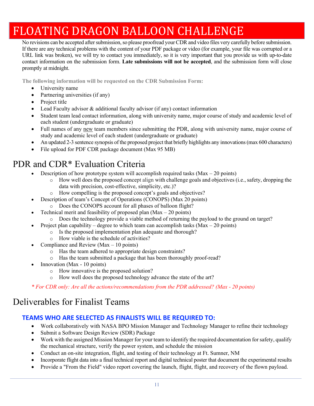No revisions can be accepted after submission, so please proofread your CDR and video files very carefully before submission. If there are any technical problems with the content of your PDF package or video (for example, your file was corrupted or a URL link was broken), we will try to contact you immediately, so it is very important that you provide us with up-to-date contact information on the submission form. **Late submissions will not be accepted**, and the submission form will close promptly at midnight.

**The following information will be requested on the CDR Submission Form:** 

- University name
- Partnering universities (if any)
- Project title
- Lead Faculty advisor & additional faculty advisor (if any) contact information
- Student team lead contact information, along with university name, major course of study and academic level of each student (undergraduate or graduate)
- Full names of any new team members since submitting the PDR, along with university name, major course of study and academic level of each student (undergraduate or graduate)
- An updated 2-3 sentence synopsis of the proposed project that briefly highlights any innovations (max 600 characters)
- File upload for PDF CDR package document (Max 95 MB)

### PDR and CDR\* Evaluation Criteria

- Description of how prototype system will accomplish required tasks ( $Max 20$  points)
	- o How well does the proposed concept align with challenge goals and objectives (i.e., safety, dropping the data with precision, cost-effective, simplicity, etc.)?
	- How compelling is the proposed concept's goals and objectives?
- Description of team's Concept of Operations (CONOPS) (Max 20 points)
	- o Does the CONOPS account for all phases of balloon flight?
- Technical merit and feasibility of proposed plan  $(Max 20$  points)
	- o Does the technology provide a viable method of returning the payload to the ground on target?
- Project plan capability degree to which team can accomplish tasks (Max 20 points)
	- o Is the proposed implementation plan adequate and thorough?
	- o How viable is the schedule of activities?
- Compliance and Review (Max 10 points)
	- o Has the team adhered to appropriate design constraints?
	- o Has the team submitted a package that has been thoroughly proof-read?
- Innovation (Max 10 points)
	- o How innovative is the proposed solution?
	- o How well does the proposed technology advance the state of the art?

*\* For CDR only: Are all the actions/recommendations from the PDR addressed? (Max - 20 points)* 

### Deliverables for Finalist Teams

### **TEAMS WHO ARE SELECTED AS FINALISTS WILL BE REQUIRED TO:**

- Work collaboratively with NASA BPO Mission Manager and Technology Manager to refine their technology
- Submit a Software Design Review (SDR) Package
- Work with the assigned Mission Manager for your team to identify the required documentation for safety, qualify the mechanical structure, verify the power system, and schedule the mission
- Conduct an on-site integration, flight, and testing of their technology at Ft. Sumner, NM
- Incorporate flight data into a final technical report and digital technical poster that document the experimental results
- Provide a "From the Field" video report covering the launch, flight, flight, and recovery of the flown payload.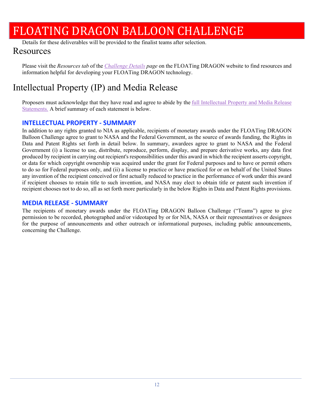Details for these deliverables will be provided to the finalist teams after selection.

### Resources

Please visit the *Resources tab* of the *Challenge Details page* on the FLOATing DRAGON website to find resources and information helpful for developing your FLOATing DRAGON technology.

### Intellectual Property (IP) and Media Release

Proposers must acknowledge that they have read and agree to abide by the full Intellectual Property and Media Release Statements. A brief summary of each statement is below.

#### **INTELLECTUAL PROPERTY ‐ SUMMARY**

In addition to any rights granted to NIA as applicable, recipients of monetary awards under the FLOATing DRAGON Balloon Challenge agree to grant to NASA and the Federal Government, as the source of awards funding, the Rights in Data and Patent Rights set forth in detail below. In summary, awardees agree to grant to NASA and the Federal Government (i) a license to use, distribute, reproduce, perform, display, and prepare derivative works, any data first produced by recipient in carrying out recipient's responsibilities under this award in which the recipient asserts copyright, or data for which copyright ownership was acquired under the grant for Federal purposes and to have or permit others to do so for Federal purposes only, and (ii) a license to practice or have practiced for or on behalf of the United States any invention of the recipient conceived or first actually reduced to practice in the performance of work under this award if recipient chooses to retain title to such invention, and NASA may elect to obtain title or patent such invention if recipient chooses not to do so, all as set forth more particularly in the below Rights in Data and Patent Rights provisions.

#### **MEDIA RELEASE ‐ SUMMARY**

The recipients of monetary awards under the FLOATing DRAGON Balloon Challenge ("Teams") agree to give permission to be recorded, photographed and/or videotaped by or for NIA, NASA or their representatives or designees for the purpose of announcements and other outreach or informational purposes, including public announcements, concerning the Challenge.